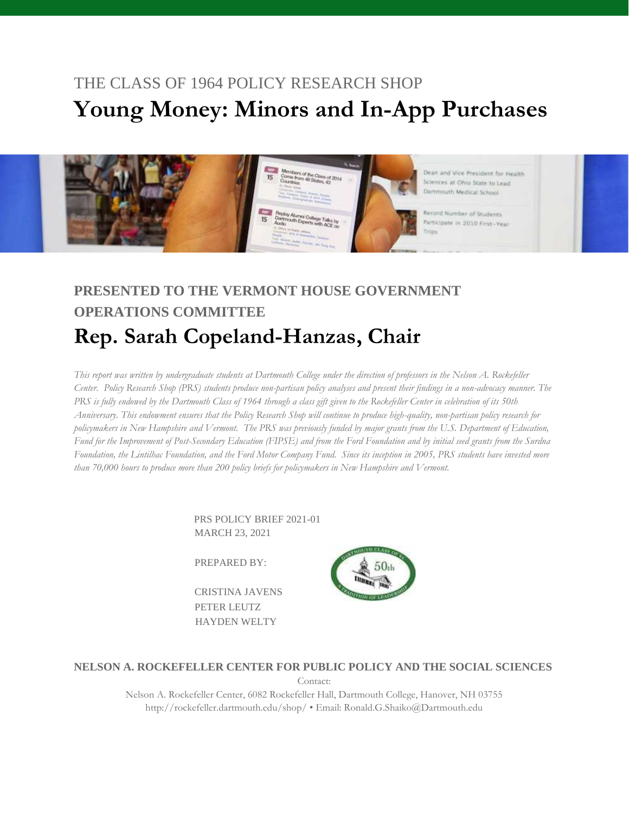# THE CLASS OF 1964 POLICY RESEARCH SHOP **Young Money: Minors and In-App Purchases**



# **PRESENTED TO THE VERMONT HOUSE GOVERNMENT OPERATIONS COMMITTEE Rep. Sarah Copeland-Hanzas, Chair**

*This report was written by undergraduate students at Dartmouth College under the direction of professors in the Nelson A. Rockefeller Center. Policy Research Shop (PRS) students produce non-partisan policy analyses and present their findings in a non-advocacy manner. The*  PRS is fully endowed by the Dartmouth Class of 1964 through a class gift given to the Rockefeller Center in celebration of its 50th *Anniversary. This endowment ensures that the Policy Research Shop will continue to produce high-quality, non-partisan policy research for policymakers in New Hampshire and Vermont. The PRS was previously funded by major grants from the U.S. Department of Education, Fund for the Improvement of Post-Secondary Education (FIPSE) and from the Ford Foundation and by initial seed grants from the Surdna Foundation, the Lintilhac Foundation, and the Ford Motor Company Fund. Since its inception in 2005, PRS students have invested more than 70,000 hours to produce more than 200 policy briefs for policymakers in New Hampshire and Vermont.*

> PRS POLICY BRIEF 2021-01 MARCH 23, 2021

PREPARED BY:

 CRISTINA JAVENS PETER LEUTZ HAYDEN WELTY



**NELSON A. ROCKEFELLER CENTER FOR PUBLIC POLICY AND THE SOCIAL SCIENCES**

Contact:

Nelson A. Rockefeller Center, 6082 Rockefeller Hall, Dartmouth College, Hanover, NH 03755 http://rockefeller.dartmouth.edu/shop/ • Email: Ronald.G.Shaiko@Dartmouth.edu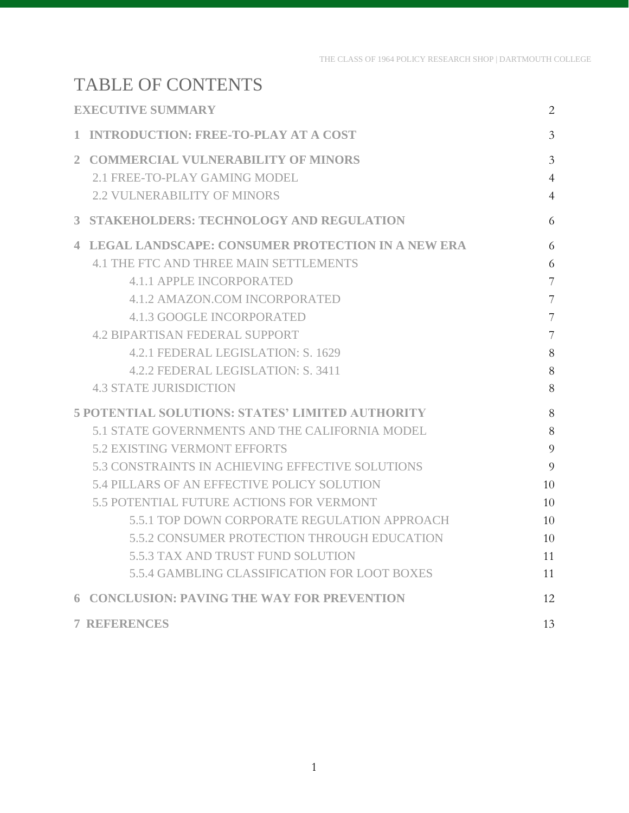# TABLE OF CONTENTS

<span id="page-1-0"></span>

| <b>EXECUTIVE SUMMARY</b> |                                                            | 2              |
|--------------------------|------------------------------------------------------------|----------------|
| $\mathbf{1}$             | <b>INTRODUCTION: FREE-TO-PLAY AT A COST</b>                | $\overline{3}$ |
| $\mathfrak{2}$           | <b>COMMERCIAL VULNERABILITY OF MINORS</b>                  | $\overline{3}$ |
|                          | 2.1 FREE-TO-PLAY GAMING MODEL                              | $\overline{4}$ |
|                          | <b>2.2 VULNERABILITY OF MINORS</b>                         | $\overline{4}$ |
|                          | 3 STAKEHOLDERS: TECHNOLOGY AND REGULATION                  | 6              |
|                          | <b>4 LEGAL LANDSCAPE: CONSUMER PROTECTION IN A NEW ERA</b> | 6              |
|                          | <b>4.1 THE FTC AND THREE MAIN SETTLEMENTS</b>              | 6              |
|                          | 4.1.1 APPLE INCORPORATED                                   | 7              |
|                          | <b>4.1.2 AMAZON.COM INCORPORATED</b>                       | 7              |
|                          | <b>4.1.3 GOOGLE INCORPORATED</b>                           | 7              |
|                          | <b>4.2 BIPARTISAN FEDERAL SUPPORT</b>                      | 7              |
|                          | 4.2.1 FEDERAL LEGISLATION: S. 1629                         | 8              |
|                          | 4.2.2 FEDERAL LEGISLATION: S. 3411                         | 8              |
|                          | <b>4.3 STATE JURISDICTION</b>                              | 8              |
|                          | <b>5 POTENTIAL SOLUTIONS: STATES' LIMITED AUTHORITY</b>    |                |
|                          | 5.1 STATE GOVERNMENTS AND THE CALIFORNIA MODEL             | 8              |
|                          | <b>5.2 EXISTING VERMONT EFFORTS</b>                        | 9              |
|                          | 5.3 CONSTRAINTS IN ACHIEVING EFFECTIVE SOLUTIONS           | 9              |
|                          | 5.4 PILLARS OF AN EFFECTIVE POLICY SOLUTION                | 10             |
|                          | 5.5 POTENTIAL FUTURE ACTIONS FOR VERMONT                   | 10             |
|                          | 5.5.1 TOP DOWN CORPORATE REGULATION APPROACH               | 10             |
|                          | 5.5.2 CONSUMER PROTECTION THROUGH EDUCATION                | 10             |
|                          | 5.5.3 TAX AND TRUST FUND SOLUTION                          | 11             |
|                          | <b>5.5.4 GAMBLING CLASSIFICATION FOR LOOT BOXES</b>        | 11             |
|                          | <b>6 CONCLUSION: PAVING THE WAY FOR PREVENTION</b>         | 12             |
|                          | <b>7 REFERENCES</b>                                        | 13             |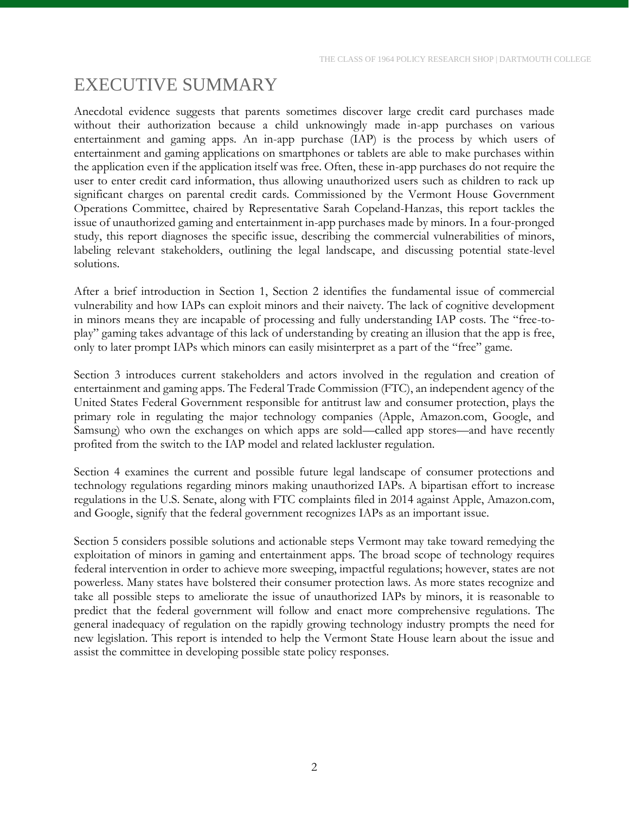# EXECUTIVE SUMMARY

Anecdotal evidence suggests that parents sometimes discover large credit card purchases made without their authorization because a child unknowingly made in-app purchases on various entertainment and gaming apps. An in-app purchase (IAP) is the process by which users of entertainment and gaming applications on smartphones or tablets are able to make purchases within the application even if the application itself was free. Often, these in-app purchases do not require the user to enter credit card information, thus allowing unauthorized users such as children to rack up significant charges on parental credit cards. Commissioned by the Vermont House Government Operations Committee, chaired by Representative Sarah Copeland-Hanzas, this report tackles the issue of unauthorized gaming and entertainment in-app purchases made by minors. In a four-pronged study, this report diagnoses the specific issue, describing the commercial vulnerabilities of minors, labeling relevant stakeholders, outlining the legal landscape, and discussing potential state-level solutions.

After a brief introduction in Section 1, Section 2 identifies the fundamental issue of commercial vulnerability and how IAPs can exploit minors and their naivety. The lack of cognitive development in minors means they are incapable of processing and fully understanding IAP costs. The "free-toplay" gaming takes advantage of this lack of understanding by creating an illusion that the app is free, only to later prompt IAPs which minors can easily misinterpret as a part of the "free" game.

Section 3 introduces current stakeholders and actors involved in the regulation and creation of entertainment and gaming apps. The Federal Trade Commission (FTC), an independent agency of the United States Federal Government responsible for antitrust law and consumer protection, plays the primary role in regulating the major technology companies (Apple, Amazon.com, Google, and Samsung) who own the exchanges on which apps are sold––called app stores––and have recently profited from the switch to the IAP model and related lackluster regulation.

Section 4 examines the current and possible future legal landscape of consumer protections and technology regulations regarding minors making unauthorized IAPs. A bipartisan effort to increase regulations in the U.S. Senate, along with FTC complaints filed in 2014 against Apple, Amazon.com, and Google, signify that the federal government recognizes IAPs as an important issue.

<span id="page-2-0"></span>Section 5 considers possible solutions and actionable steps Vermont may take toward remedying the exploitation of minors in gaming and entertainment apps. The broad scope of technology requires federal intervention in order to achieve more sweeping, impactful regulations; however, states are not powerless. Many states have bolstered their consumer protection laws. As more states recognize and take all possible steps to ameliorate the issue of unauthorized IAPs by minors, it is reasonable to predict that the federal government will follow and enact more comprehensive regulations. The general inadequacy of regulation on the rapidly growing technology industry prompts the need for new legislation. This report is intended to help the Vermont State House learn about the issue and assist the committee in developing possible state policy responses.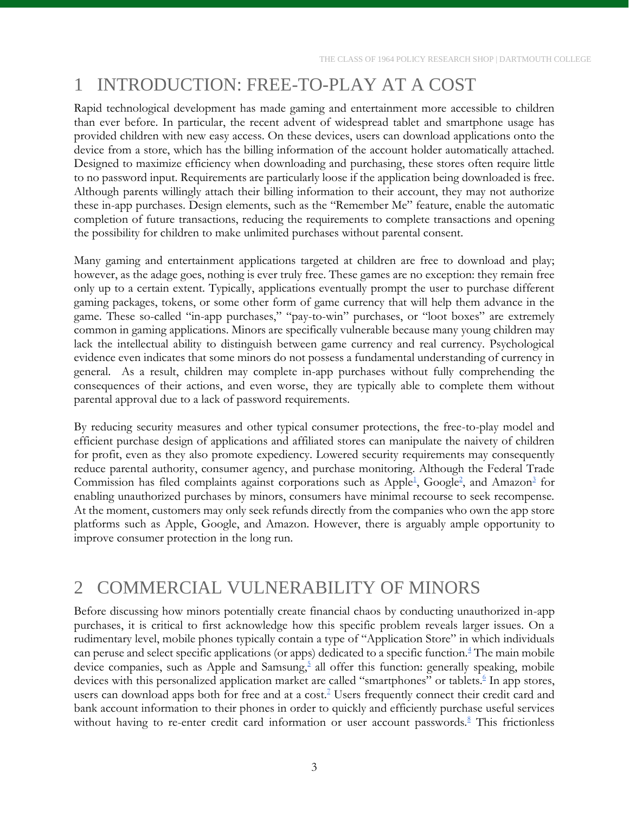# 1 INTRODUCTION: FREE-TO-PLAY AT A COST

Rapid technological development has made gaming and entertainment more accessible to children than ever before. In particular, the recent advent of widespread tablet and smartphone usage has provided children with new easy access. On these devices, users can download applications onto the device from a store, which has the billing information of the account holder automatically attached. Designed to maximize efficiency when downloading and purchasing, these stores often require little to no password input. Requirements are particularly loose if the application being downloaded is free. Although parents willingly attach their billing information to their account, they may not authorize these in-app purchases. Design elements, such as the "Remember Me" feature, enable the automatic completion of future transactions, reducing the requirements to complete transactions and opening the possibility for children to make unlimited purchases without parental consent.

Many gaming and entertainment applications targeted at children are free to download and play; however, as the adage goes, nothing is ever truly free. These games are no exception: they remain free only up to a certain extent. Typically, applications eventually prompt the user to purchase different gaming packages, tokens, or some other form of game currency that will help them advance in the game. These so-called "in-app purchases," "pay-to-win" purchases, or "loot boxes" are extremely common in gaming applications. Minors are specifically vulnerable because many young children may lack the intellectual ability to distinguish between game currency and real currency. Psychological evidence even indicates that some minors do not possess a fundamental understanding of currency in general. As a result, children may complete in-app purchases without fully comprehending the consequences of their actions, and even worse, they are typically able to complete them without parental approval due to a lack of password requirements.

By reducing security measures and other typical consumer protections, the free-to-play model and efficient purchase design of applications and affiliated stores can manipulate the naivety of children for profit, even as they also promote expediency. Lowered security requirements may consequently reduce parental authority, consumer agency, and purchase monitoring. Although the Federal Trade Commission has filed complaints against corporations such as Apple<sup>1</sup>[,](#page-13-2) Google<sup>2</sup>, a[n](#page-13-3)d Amazon<sup>3</sup> for enabling unauthorized purchases by minors, consumers have minimal recourse to seek recompense. At the moment, customers may only seek refunds directly from the companies who own the app store platforms such as Apple, Google, and Amazon. However, there is arguably ample opportunity to improve consumer protection in the long run.

## <span id="page-3-0"></span>2 COMMERCIAL VULNERABILITY OF MINORS

Before discussing how minors potentially create financial chaos by conducting unauthorized in-app purchases, it is critical to first acknowledge how this specific problem reveals larger issues. On a rudimentary level, mobile phones typically contain a type of "Application Store" in which individuals can peruse and select specific applications (or apps) dedicated to a specific function[.](#page-13-4) $4$  The main mobile device companies[,](#page-13-5) such as Apple and Samsung,<sup>5</sup> all offer this function: generally speaking, mobile devices with this personalized application market are called "smartphones" or tablet[s.](#page-13-6)<sup>6</sup> In app stores, users can download apps both for free and at a cost[.](#page-13-7)<sup>7</sup> Users frequently connect their credit card and bank account information to their phones in order to quickly and efficiently purchase useful services without having to re-enter credit card information or user account passwords.<sup>[8](#page-13-8)</sup> This frictionless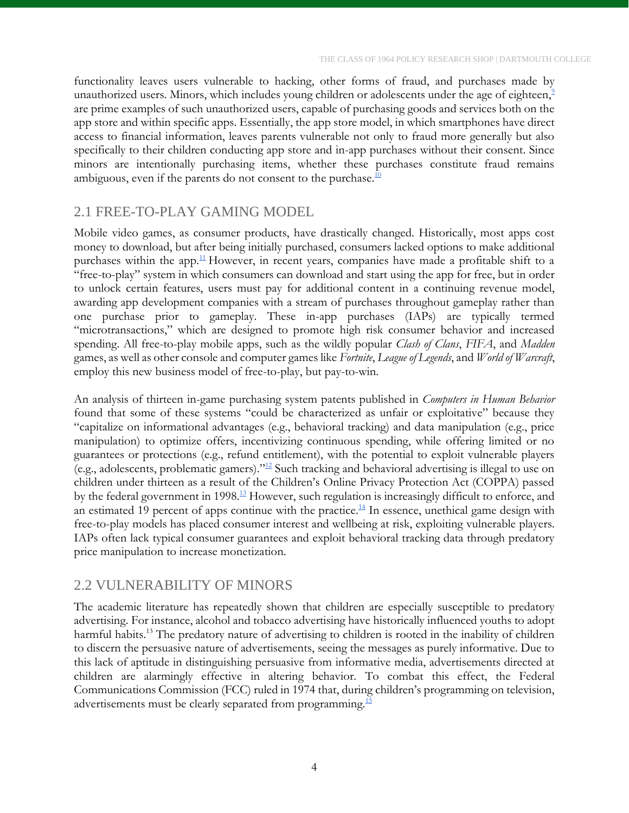functionality leaves users vulnerable to hacking, other forms of fraud, and purchases made by unauthorized users. Minors, which includes young children or adolescents under the age of eighteen,<sup>9</sup> are prime examples of such unauthorized users, capable of purchasing goods and services both on the app store and within specific apps. Essentially, the app store model, in which smartphones have direct access to financial information, leaves parents vulnerable not only to fraud more generally but also specifically to their children conducting app store and in-app purchases without their consent. Since minors are intentionally purchasing items, whether these purchases constitute fraud remains ambiguous, even if the parents do not consent to the purchase. $10$ 

### <span id="page-4-0"></span>2.1 FREE-TO-PLAY GAMING MODEL

Mobile video games, as consumer products, have drastically changed. Historically, most apps cost money to download, but after being initially purchased, consumers lacked options to make additional purchases within the app.<sup>[11](#page-13-11)</sup> However, in recent years, companies have made a profitable shift to a "free-to-play" system in which consumers can download and start using the app for free, but in order to unlock certain features, users must pay for additional content in a continuing revenue model, awarding app development companies with a stream of purchases throughout gameplay rather than one purchase prior to gameplay. These in-app purchases (IAPs) are typically termed "microtransactions," which are designed to promote high risk consumer behavior and increased spending. All free-to-play mobile apps, such as the wildly popular *Clash of Clans*, *FIFA*, and *Madden*  games, as well as other console and computer games like *Fortnite*, *League of Legends*, and *World of Warcraft*, employ this new business model of free-to-play, but pay-to-win.

An analysis of thirteen in-game purchasing system patents published in *Computers in Human Behavior* found that some of these systems "could be characterized as unfair or exploitative" because they "capitalize on informational advantages (e.g., behavioral tracking) and data manipulation (e.g., price manipulation) to optimize offers, incentivizing continuous spending, while offering limited or no guarantees or protections (e.g., refund entitlement), with the potential to exploit vulnerable players (e.g., adolescents, problematic gamers)."[12](#page-13-12) Such tracking and behavioral advertising is illegal to use on children under thirteen as a result of the Children's Online Privacy Protection Act (COPPA) passed by the federal government in 1998.<sup>[13](#page-13-13)</sup> However, such regulation is increasingly difficult to enforce, and an estimated 19 percent of apps continue with the practice.<sup>[14](#page-13-14)</sup> In essence, unethical game design with free-to-play models has placed consumer interest and wellbeing at risk, exploiting vulnerable players. IAPs often lack typical consumer guarantees and exploit behavioral tracking data through predatory price manipulation to increase monetization.

#### <span id="page-4-1"></span>2.2 VULNERABILITY OF MINORS

The academic literature has repeatedly shown that children are especially susceptible to predatory advertising. For instance, alcohol and tobacco advertising have historically influenced youths to adopt harmful habits.<sup>13</sup> The predatory nature of advertising to children is rooted in the inability of children to discern the persuasive nature of advertisements, seeing the messages as purely informative. Due to this lack of aptitude in distinguishing persuasive from informative media, advertisements directed at children are alarmingly effective in altering behavior. To combat this effect, the Federal Communications Commission (FCC) ruled in 1974 that, during children's programming on television, advertisements must be clearly separated from programming.<sup>[15](#page-13-15)</sup>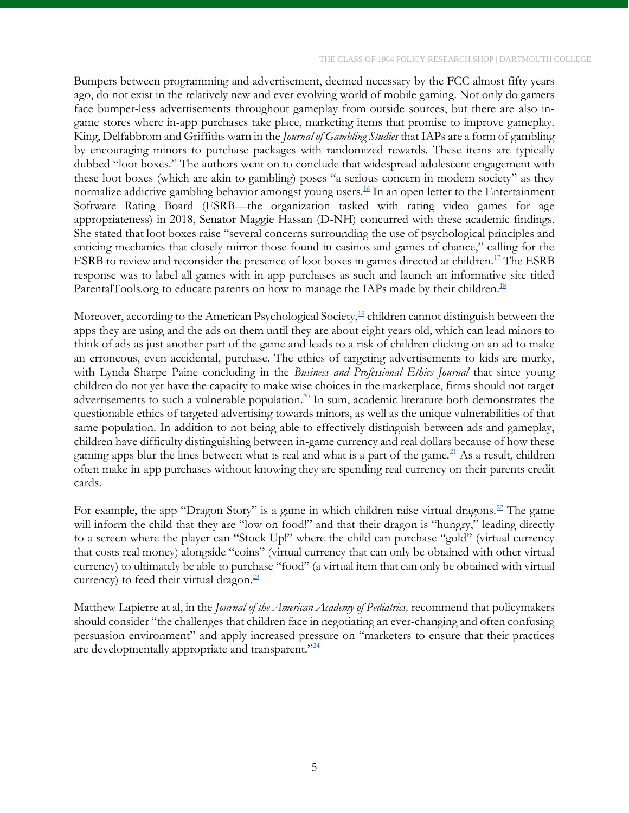Bumpers between programming and advertisement, deemed necessary by the FCC almost fifty years ago, do not exist in the relatively new and ever evolving world of mobile gaming. Not only do gamers face bumper-less advertisements throughout gameplay from outside sources, but there are also ingame stores where in-app purchases take place, marketing items that promise to improve gameplay. King, Delfabbrom and Griffiths warn in the *Journal of Gambling Studies* that IAPs are a form of gambling by encouraging minors to purchase packages with randomized rewards. These items are typically dubbed "loot boxes." The authors went on to conclude that widespread adolescent engagement with these loot boxes (which are akin to gambling) poses "a serious concern in modern society" as they normalize addictive gambling behavior amongst young users.<sup>[16](#page-13-16)</sup> In an open letter to the Entertainment Software Rating Board (ESRB—the organization tasked with rating video games for age appropriateness) in 2018, Senator Maggie Hassan (D-NH) concurred with these academic findings. She stated that loot boxes raise "several concerns surrounding the use of psychological principles and enticing mechanics that closely mirror those found in casinos and games of chance," calling for the ESRB to review and reconsider the presence of loot boxes in games directed at children.<sup>[17](#page-13-17)</sup> The ESRB response was to label all games with in-app purchases as such and launch an informative site titled ParentalTools.org to educate parents on how to manage the IAPs made by their children.<sup>[18](#page-13-18)</sup>

Moreover, according to the American Psychological Society, $\frac{19}{2}$  $\frac{19}{2}$  $\frac{19}{2}$  children cannot distinguish between the apps they are using and the ads on them until they are about eight years old, which can lead minors to think of ads as just another part of the game and leads to a risk of children clicking on an ad to make an erroneous, even accidental, purchase. The ethics of targeting advertisements to kids are murky, with Lynda Sharpe Paine concluding in the *Business and Professional Ethics Journal* that since young children do not yet have the capacity to make wise choices in the marketplace, firms should not target advertisements to such a vulnerable population.<sup>[20](#page-13-20)</sup> In sum, academic literature both demonstrates the questionable ethics of targeted advertising towards minors, as well as the unique vulnerabilities of that same population. In addition to not being able to effectively distinguish between ads and gameplay, children have difficulty distinguishing between in-game currency and real dollars because of how these gaming apps blur the lines between what is real and what is a part of the game.<sup>[21](#page-13-21)</sup> As a result, children often make in-app purchases without knowing they are spending real currency on their parents credit cards.

For example, the app "Dragon Story" is a game in which children raise virtual dragons.<sup>[22](#page-13-22)</sup> The game will inform the child that they are "low on food!" and that their dragon is "hungry," leading directly to a screen where the player can "Stock Up!" where the child can purchase "gold" (virtual currency that costs real money) alongside "coins" (virtual currency that can only be obtained with other virtual currency) to ultimately be able to purchase "food" (a virtual item that can only be obtained with virtual currency) to feed their virtual dragon. $^{23}$  $^{23}$  $^{23}$ 

Matthew Lapierre at al, in the *Journal of the American Academy of Pediatrics,* recommend that policymakers should consider "the challenges that children face in negotiating an ever-changing and often confusing persuasion environment" and apply increased pressure on "marketers to ensure that their practices are developmentally appropriate and transparent."<sup>[24](#page-13-24)</sup>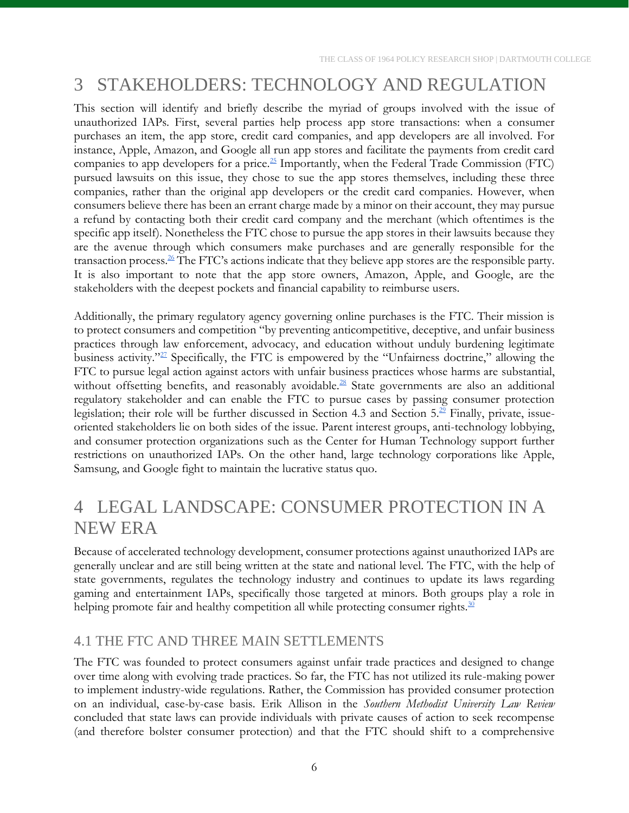# <span id="page-6-0"></span>3 STAKEHOLDERS: TECHNOLOGY AND REGULATION

This section will identify and briefly describe the myriad of groups involved with the issue of unauthorized IAPs. First, several parties help process app store transactions: when a consumer purchases an item, the app store, credit card companies, and app developers are all involved. For instance, Apple, Amazon, and Google all run app stores and facilitate the payments from credit card companies to app developers for a price.<sup>[25](#page-13-25)</sup> Importantly, when the Federal Trade Commission (FTC) pursued lawsuits on this issue, they chose to sue the app stores themselves, including these three companies, rather than the original app developers or the credit card companies. However, when consumers believe there has been an errant charge made by a minor on their account, they may pursue a refund by contacting both their credit card company and the merchant (which oftentimes is the specific app itself). Nonetheless the FTC chose to pursue the app stores in their lawsuits because they are the avenue through which consumers make purchases and are generally responsible for the transaction process.  $\frac{26}{3}$  $\frac{26}{3}$  $\frac{26}{3}$  The FTC's actions indicate that they believe app stores are the responsible party. It is also important to note that the app store owners, Amazon, Apple, and Google, are the stakeholders with the deepest pockets and financial capability to reimburse users.

Additionally, the primary regulatory agency governing online purchases is the FTC. Their mission is to protect consumers and competition "by preventing anticompetitive, deceptive, and unfair business practices through law enforcement, advocacy, and education without unduly burdening legitimate business activity."<sup>[27](#page-13-27)</sup> Specifically, the FTC is empowered by the "Unfairness doctrine," allowing the FTC to pursue legal action against actors with unfair business practices whose harms are substantial, without offsetting benefits, and reasonably avoidable.<sup>[28](#page-13-28)</sup> State governments are also an additional regulatory stakeholder and can enable the FTC to pursue cases by passing consumer protection legislation; their role will be further discussed in Section 4.3 and Section  $5.\overline{2}$  Finally, private, issueoriented stakeholders lie on both sides of the issue. Parent interest groups, anti-technology lobbying, and consumer protection organizations such as the Center for Human Technology support further restrictions on unauthorized IAPs. On the other hand, large technology corporations like Apple, Samsung, and Google fight to maintain the lucrative status quo.

## <span id="page-6-1"></span>4 LEGAL LANDSCAPE: CONSUMER PROTECTION IN A NEW ERA

Because of accelerated technology development, consumer protections against unauthorized IAPs are generally unclear and are still being written at the state and national level. The FTC, with the help of state governments, regulates the technology industry and continues to update its laws regarding gaming and entertainment IAPs, specifically those targeted at minors. Both groups play a role in helping promote fair and healthy competition all while protecting consumer rights. $\frac{30}{20}$  $\frac{30}{20}$  $\frac{30}{20}$ 

### <span id="page-6-2"></span>4.1 THE FTC AND THREE MAIN SETTLEMENTS

The FTC was founded to protect consumers against unfair trade practices and designed to change over time along with evolving trade practices. So far, the FTC has not utilized its rule-making power to implement industry-wide regulations. Rather, the Commission has provided consumer protection on an individual, case-by-case basis. Erik Allison in the *Southern Methodist University Law Review* concluded that state laws can provide individuals with private causes of action to seek recompense (and therefore bolster consumer protection) and that the FTC should shift to a comprehensive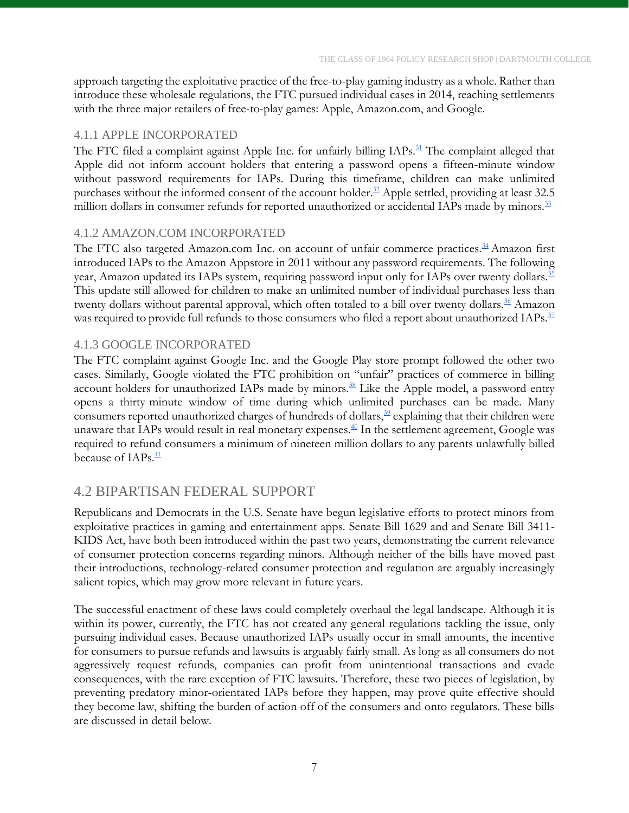approach targeting the exploitative practice of the free-to-play gaming industry as a whole. Rather than introduce these wholesale regulations, the FTC pursued individual cases in 2014, reaching settlements with the three major retailers of free-to-play games: Apple, Amazon.com, and Google.

#### <span id="page-7-0"></span>4.1.1 APPLE INCORPORATED

The FTC filed a complaint against Apple Inc. for unfairly billing IAPs.<sup>[31](#page-13-31)</sup> The complaint alleged that Apple did not inform account holders that entering a password opens a fifteen-minute window without password requirements for IAPs. During this timeframe, children can make unlimited purchases without the informed consent of the account holder.<sup>[32](#page-13-32)</sup> Apple settled, providing at least 32.5 million dollars in consumer refunds for reported unauthorized or accidental IAPs made by minors.<sup>[33](#page-13-33)</sup>

#### <span id="page-7-1"></span>4.1.2 AMAZON.COM INCORPORATED

The FTC also targeted Amazon.com Inc. on account of unfair commerce practices.<sup>[34](#page-13-34)</sup> Amazon first introduced IAPs to the Amazon Appstore in 2011 without any password requirements. The following year, Amazon updated its IAPs system, requiring password input only for IAPs over twenty dollars.<sup>[35](#page-14-0)</sup> This update still allowed for children to make an unlimited number of individual purchases less than twenty dollars without parental approval, which often totaled to a bill over twenty dollars.<sup>[36](#page-14-1)</sup> Amazon was required to provide full refunds to those consumers who filed a report about unauthorized IAPs.<sup>[37](#page-14-2)</sup>

#### <span id="page-7-2"></span>4.1.3 GOOGLE INCORPORATED

The FTC complaint against Google Inc. and the Google Play store prompt followed the other two cases. Similarly, Google violated the FTC prohibition on "unfair" practices of commerce in billing account holders for unauthorized IAPs made by minors. $38$  Like the Apple model, a password entry opens a thirty-minute window of time during which unlimited purchases can be made. Many consumers reported unauthorized charges of hundreds of dollars,<sup>[39](#page-14-4)</sup> explaining that their children were unaware that IAPs would result in real monetary expenses. $\frac{40}{3}$  $\frac{40}{3}$  $\frac{40}{3}$  In the settlement agreement, Google was required to refund consumers a minimum of nineteen million dollars to any parents unlawfully billed because of IAPs.<sup>[41](#page-14-6)</sup>

### <span id="page-7-3"></span>4.2 BIPARTISAN FEDERAL SUPPORT

Republicans and Democrats in the U.S. Senate have begun legislative efforts to protect minors from exploitative practices in gaming and entertainment apps. Senate Bill 1629 and and Senate Bill 3411- KIDS Act, have both been introduced within the past two years, demonstrating the current relevance of consumer protection concerns regarding minors. Although neither of the bills have moved past their introductions, technology-related consumer protection and regulation are arguably increasingly salient topics, which may grow more relevant in future years.

The successful enactment of these laws could completely overhaul the legal landscape. Although it is within its power, currently, the FTC has not created any general regulations tackling the issue, only pursuing individual cases. Because unauthorized IAPs usually occur in small amounts, the incentive for consumers to pursue refunds and lawsuits is arguably fairly small. As long as all consumers do not aggressively request refunds, companies can profit from unintentional transactions and evade consequences, with the rare exception of FTC lawsuits. Therefore, these two pieces of legislation, by preventing predatory minor-orientated IAPs before they happen, may prove quite effective should they become law, shifting the burden of action off of the consumers and onto regulators. These bills are discussed in detail below.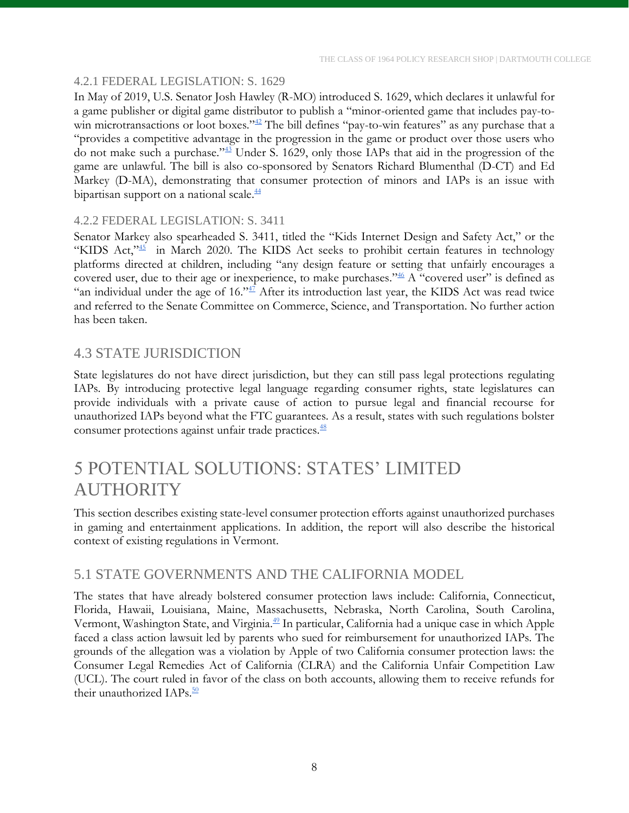#### <span id="page-8-0"></span>4.2.1 FEDERAL LEGISLATION: S. 1629

In May of 2019, U.S. Senator Josh Hawley (R-MO) introduced S. 1629, which declares it unlawful for a game publisher or digital game distributor to publish a "minor-oriented game that includes pay-to-win microtransactions or loot boxes."<sup>[42](#page-14-7)</sup> The bill defines "pay-to-win features" as any purchase that a "provides a competitive advantage in the progression in the game or product over those users who do not make such a purchase."[43](#page-14-8) Under S. 1629, only those IAPs that aid in the progression of the game are unlawful. The bill is also co-sponsored by Senators Richard Blumenthal (D-CT) and Ed Markey (D-MA), demonstrating that consumer protection of minors and IAPs is an issue with bipartisan support on a national scale.<sup>[44](#page-14-9)</sup>

#### <span id="page-8-1"></span>4.2.2 FEDERAL LEGISLATION: S. 3411

Senator Markey also spearheaded S. 3411, titled the "Kids Internet Design and Safety Act," or the "KIDS Act,"<sup>[45](#page-14-10)</sup> in March 2020. The KIDS Act seeks to prohibit certain features in technology platforms directed at children, including "any design feature or setting that unfairly encourages a covered user, due to their age or inexperience, to make purchases."<sup>[46](#page-14-11)</sup> A "covered user" is defined as "an individual under the age of  $16.^{347}$  $16.^{347}$  $16.^{347}$  After its introduction last year, the KIDS Act was read twice and referred to the Senate Committee on Commerce, Science, and Transportation. No further action has been taken.

### <span id="page-8-2"></span>4.3 STATE JURISDICTION

State legislatures do not have direct jurisdiction, but they can still pass legal protections regulating IAPs. By introducing protective legal language regarding consumer rights, state legislatures can provide individuals with a private cause of action to pursue legal and financial recourse for unauthorized IAPs beyond what the FTC guarantees. As a result, states with such regulations bolster consumer protections against unfair trade practices.<sup>[48](#page-14-13)</sup>

### <span id="page-8-3"></span>5 POTENTIAL SOLUTIONS: STATES' LIMITED **AUTHORITY**

This section describes existing state-level consumer protection efforts against unauthorized purchases in gaming and entertainment applications. In addition, the report will also describe the historical context of existing regulations in Vermont.

### <span id="page-8-4"></span>5.1 STATE GOVERNMENTS AND THE CALIFORNIA MODEL

The states that have already bolstered consumer protection laws include: California, Connecticut, Florida, Hawaii, Louisiana, Maine, Massachusetts, Nebraska, North Carolina, South Carolina, Vermont, Washington State, and Virginia.<sup>[49](#page-14-14)</sup> In particular, California had a unique case in which Apple faced a class action lawsuit led by parents who sued for reimbursement for unauthorized IAPs. The grounds of the allegation was a violation by Apple of two California consumer protection laws: the Consumer Legal Remedies Act of California (CLRA) and the California Unfair Competition Law (UCL). The court ruled in favor of the class on both accounts, allowing them to receive refunds for their unauthorized IAPs.<sup>[50](#page-14-15)</sup>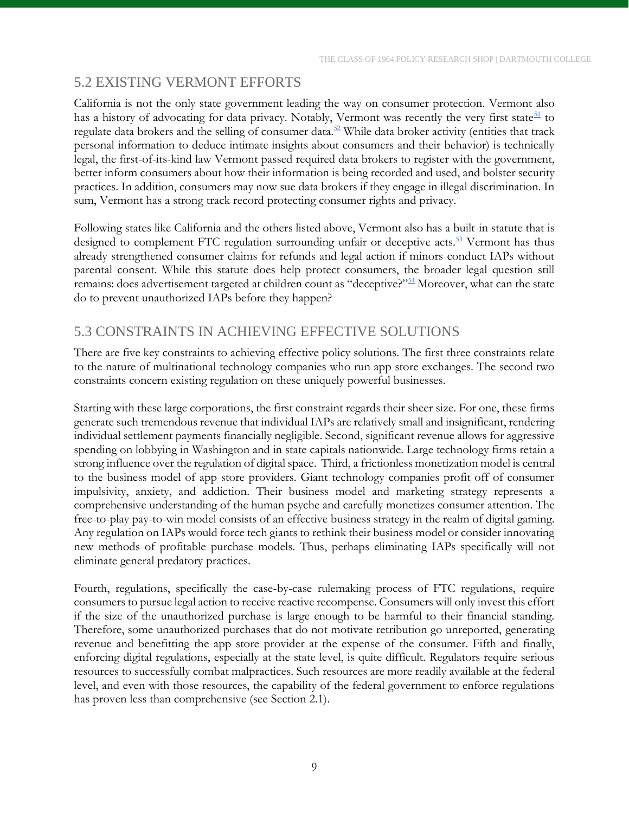### <span id="page-9-0"></span>5.2 EXISTING VERMONT EFFORTS

California is not the only state government leading the way on consumer protection. Vermont also has a history of advocating for data privacy. Notably, Vermont was recently the very first state $\frac{51}{1}$  $\frac{51}{1}$  $\frac{51}{1}$  to regulate data brokers and the selling of consumer data.<sup>[52](#page-14-17)</sup> While data broker activity (entities that track personal information to deduce intimate insights about consumers and their behavior) is technically legal, the first-of-its-kind law Vermont passed required data brokers to register with the government, better inform consumers about how their information is being recorded and used, and bolster security practices. In addition, consumers may now sue data brokers if they engage in illegal discrimination. In sum, Vermont has a strong track record protecting consumer rights and privacy.

Following states like California and the others listed above, Vermont also has a built-in statute that is designed to complement FTC regulation surrounding unfair or deceptive acts.<sup>[53](#page-14-18)</sup> Vermont has thus already strengthened consumer claims for refunds and legal action if minors conduct IAPs without parental consent. While this statute does help protect consumers, the broader legal question still remains: does advertisement targeted at children count as "deceptive?"[54](#page-14-19) Moreover, what can the state do to prevent unauthorized IAPs before they happen?

### <span id="page-9-1"></span>5.3 CONSTRAINTS IN ACHIEVING EFFECTIVE SOLUTIONS

There are five key constraints to achieving effective policy solutions. The first three constraints relate to the nature of multinational technology companies who run app store exchanges. The second two constraints concern existing regulation on these uniquely powerful businesses.

Starting with these large corporations, the first constraint regards their sheer size. For one, these firms generate such tremendous revenue that individual IAPs are relatively small and insignificant, rendering individual settlement payments financially negligible. Second, significant revenue allows for aggressive spending on lobbying in Washington and in state capitals nationwide. Large technology firms retain a strong influence over the regulation of digital space. Third, a frictionless monetization model is central to the business model of app store providers. Giant technology companies profit off of consumer impulsivity, anxiety, and addiction. Their business model and marketing strategy represents a comprehensive understanding of the human psyche and carefully monetizes consumer attention. The free-to-play pay-to-win model consists of an effective business strategy in the realm of digital gaming. Any regulation on IAPs would force tech giants to rethink their business model or consider innovating new methods of profitable purchase models. Thus, perhaps eliminating IAPs specifically will not eliminate general predatory practices.

Fourth, regulations, specifically the case-by-case rulemaking process of FTC regulations, require consumers to pursue legal action to receive reactive recompense. Consumers will only invest this effort if the size of the unauthorized purchase is large enough to be harmful to their financial standing. Therefore, some unauthorized purchases that do not motivate retribution go unreported, generating revenue and benefitting the app store provider at the expense of the consumer. Fifth and finally, enforcing digital regulations, especially at the state level, is quite difficult. Regulators require serious resources to successfully combat malpractices. Such resources are more readily available at the federal level, and even with those resources, the capability of the federal government to enforce regulations has proven less than comprehensive (see Section 2.1).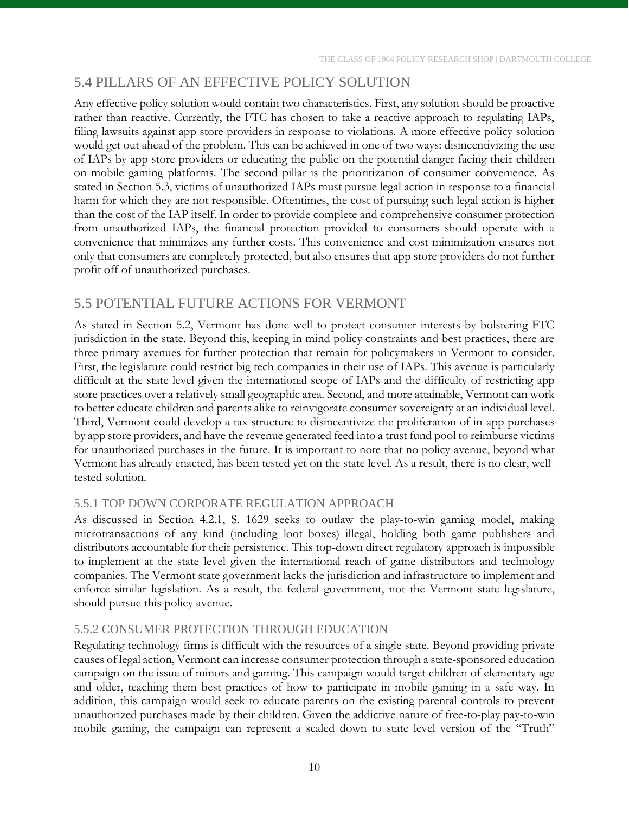### <span id="page-10-0"></span>5.4 PILLARS OF AN EFFECTIVE POLICY SOLUTION

Any effective policy solution would contain two characteristics. First, any solution should be proactive rather than reactive. Currently, the FTC has chosen to take a reactive approach to regulating IAPs, filing lawsuits against app store providers in response to violations. A more effective policy solution would get out ahead of the problem. This can be achieved in one of two ways: disincentivizing the use of IAPs by app store providers or educating the public on the potential danger facing their children on mobile gaming platforms. The second pillar is the prioritization of consumer convenience. As stated in Section 5.3, victims of unauthorized IAPs must pursue legal action in response to a financial harm for which they are not responsible. Oftentimes, the cost of pursuing such legal action is higher than the cost of the IAP itself. In order to provide complete and comprehensive consumer protection from unauthorized IAPs, the financial protection provided to consumers should operate with a convenience that minimizes any further costs. This convenience and cost minimization ensures not only that consumers are completely protected, but also ensures that app store providers do not further profit off of unauthorized purchases.

### <span id="page-10-1"></span>5.5 POTENTIAL FUTURE ACTIONS FOR VERMONT

As stated in Section 5.2, Vermont has done well to protect consumer interests by bolstering FTC jurisdiction in the state. Beyond this, keeping in mind policy constraints and best practices, there are three primary avenues for further protection that remain for policymakers in Vermont to consider. First, the legislature could restrict big tech companies in their use of IAPs. This avenue is particularly difficult at the state level given the international scope of IAPs and the difficulty of restricting app store practices over a relatively small geographic area. Second, and more attainable, Vermont can work to better educate children and parents alike to reinvigorate consumer sovereignty at an individual level. Third, Vermont could develop a tax structure to disincentivize the proliferation of in-app purchases by app store providers, and have the revenue generated feed into a trust fund pool to reimburse victims for unauthorized purchases in the future. It is important to note that no policy avenue, beyond what Vermont has already enacted, has been tested yet on the state level. As a result, there is no clear, welltested solution.

#### <span id="page-10-2"></span>5.5.1 TOP DOWN CORPORATE REGULATION APPROACH

As discussed in Section 4.2.1, S. 1629 seeks to outlaw the play-to-win gaming model, making microtransactions of any kind (including loot boxes) illegal, holding both game publishers and distributors accountable for their persistence. This top-down direct regulatory approach is impossible to implement at the state level given the international reach of game distributors and technology companies. The Vermont state government lacks the jurisdiction and infrastructure to implement and enforce similar legislation. As a result, the federal government, not the Vermont state legislature, should pursue this policy avenue.

#### <span id="page-10-3"></span>5.5.2 CONSUMER PROTECTION THROUGH EDUCATION

Regulating technology firms is difficult with the resources of a single state. Beyond providing private causes of legal action, Vermont can increase consumer protection through a state-sponsored education campaign on the issue of minors and gaming. This campaign would target children of elementary age and older, teaching them best practices of how to participate in mobile gaming in a safe way. In addition, this campaign would seek to educate parents on the existing parental controls to prevent unauthorized purchases made by their children. Given the addictive nature of free-to-play pay-to-win mobile gaming, the campaign can represent a scaled down to state level version of the "Truth"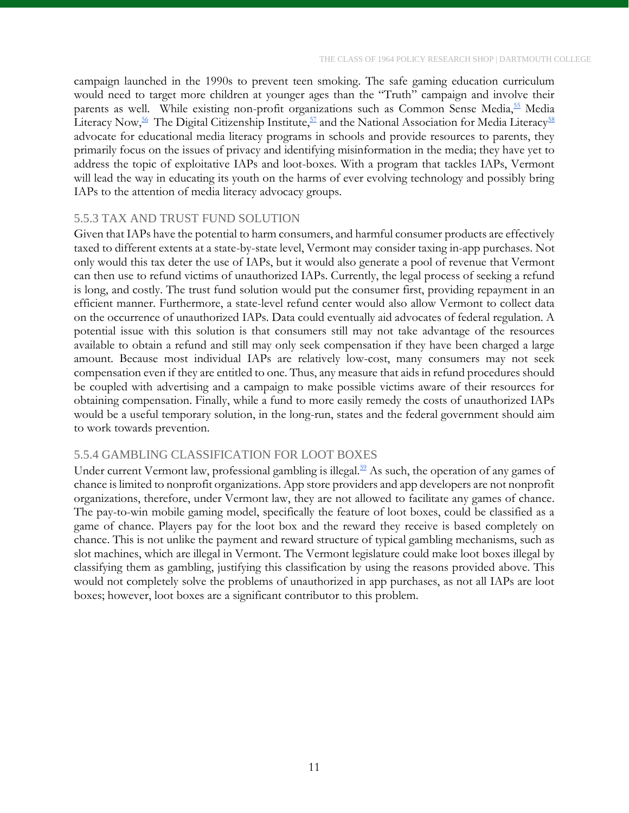campaign launched in the 1990s to prevent teen smoking. The safe gaming education curriculum would need to target more children at younger ages than the "Truth" campaign and involve their parents as well. While existing non-profit organizations such as Common Sense Media,<sup>[55](#page-14-20)</sup> Media Literacy Now,<sup>[56](#page-14-21)</sup> The Digital Citizenship Institute,<sup>[57](#page-14-22)</sup> and the National Association for Media Literacy<sup>[58](#page-14-23)</sup> advocate for educational media literacy programs in schools and provide resources to parents, they primarily focus on the issues of privacy and identifying misinformation in the media; they have yet to address the topic of exploitative IAPs and loot-boxes. With a program that tackles IAPs, Vermont will lead the way in educating its youth on the harms of ever evolving technology and possibly bring IAPs to the attention of media literacy advocacy groups.

#### <span id="page-11-0"></span>5.5.3 TAX AND TRUST FUND SOLUTION

Given that IAPs have the potential to harm consumers, and harmful consumer products are effectively taxed to different extents at a state-by-state level, Vermont may consider taxing in-app purchases. Not only would this tax deter the use of IAPs, but it would also generate a pool of revenue that Vermont can then use to refund victims of unauthorized IAPs. Currently, the legal process of seeking a refund is long, and costly. The trust fund solution would put the consumer first, providing repayment in an efficient manner. Furthermore, a state-level refund center would also allow Vermont to collect data on the occurrence of unauthorized IAPs. Data could eventually aid advocates of federal regulation. A potential issue with this solution is that consumers still may not take advantage of the resources available to obtain a refund and still may only seek compensation if they have been charged a large amount. Because most individual IAPs are relatively low-cost, many consumers may not seek compensation even if they are entitled to one. Thus, any measure that aids in refund procedures should be coupled with advertising and a campaign to make possible victims aware of their resources for obtaining compensation. Finally, while a fund to more easily remedy the costs of unauthorized IAPs would be a useful temporary solution, in the long-run, states and the federal government should aim to work towards prevention.

#### <span id="page-11-1"></span>5.5.4 GAMBLING CLASSIFICATION FOR LOOT BOXES

Under current Vermont law, professional gambling is illegal.<sup>[59](#page-14-24)</sup> As such, the operation of any games of chance is limited to nonprofit organizations. App store providers and app developers are not nonprofit organizations, therefore, under Vermont law, they are not allowed to facilitate any games of chance. The pay-to-win mobile gaming model, specifically the feature of loot boxes, could be classified as a game of chance. Players pay for the loot box and the reward they receive is based completely on chance. This is not unlike the payment and reward structure of typical gambling mechanisms, such as slot machines, which are illegal in Vermont. The Vermont legislature could make loot boxes illegal by classifying them as gambling, justifying this classification by using the reasons provided above. This would not completely solve the problems of unauthorized in app purchases, as not all IAPs are loot boxes; however, loot boxes are a significant contributor to this problem.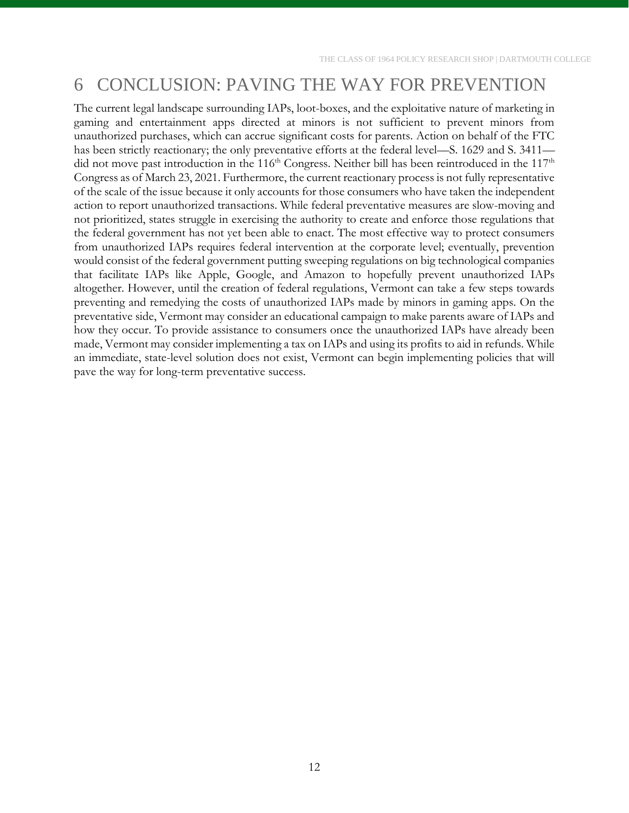# <span id="page-12-0"></span>6 CONCLUSION: PAVING THE WAY FOR PREVENTION

The current legal landscape surrounding IAPs, loot-boxes, and the exploitative nature of marketing in gaming and entertainment apps directed at minors is not sufficient to prevent minors from unauthorized purchases, which can accrue significant costs for parents. Action on behalf of the FTC has been strictly reactionary; the only preventative efforts at the federal level—S. 1629 and S. 3411 did not move past introduction in the 116<sup>th</sup> Congress. Neither bill has been reintroduced in the 117<sup>th</sup> Congress as of March 23, 2021. Furthermore, the current reactionary process is not fully representative of the scale of the issue because it only accounts for those consumers who have taken the independent action to report unauthorized transactions. While federal preventative measures are slow-moving and not prioritized, states struggle in exercising the authority to create and enforce those regulations that the federal government has not yet been able to enact. The most effective way to protect consumers from unauthorized IAPs requires federal intervention at the corporate level; eventually, prevention would consist of the federal government putting sweeping regulations on big technological companies that facilitate IAPs like Apple, Google, and Amazon to hopefully prevent unauthorized IAPs altogether. However, until the creation of federal regulations, Vermont can take a few steps towards preventing and remedying the costs of unauthorized IAPs made by minors in gaming apps. On the preventative side, Vermont may consider an educational campaign to make parents aware of IAPs and how they occur. To provide assistance to consumers once the unauthorized IAPs have already been made, Vermont may consider implementing a tax on IAPs and using its profits to aid in refunds. While an immediate, state-level solution does not exist, Vermont can begin implementing policies that will pave the way for long-term preventative success.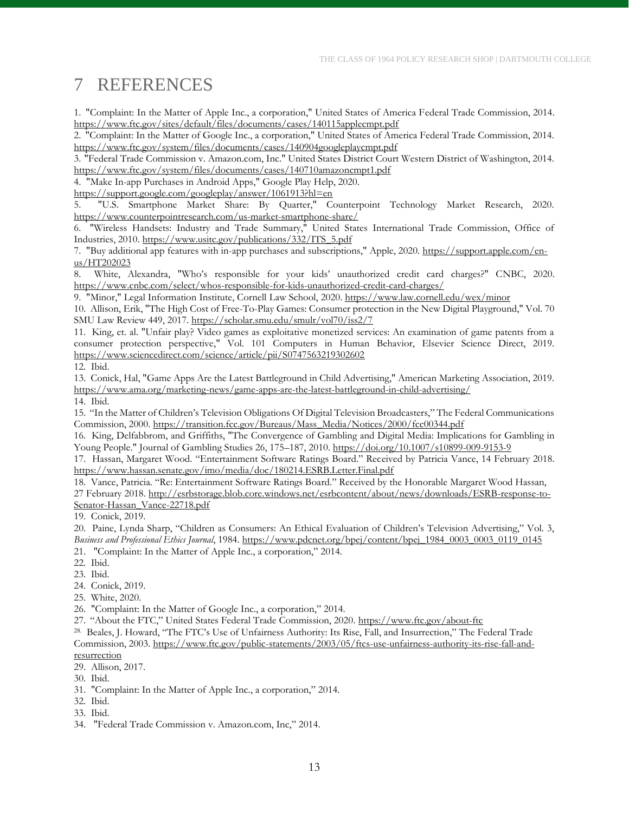## <span id="page-13-0"></span>7 REFERENCES

<span id="page-13-1"></span>1. "Complaint: In the Matter of Apple Inc., a corporation," United States of America Federal Trade Commission, 2014. <https://www.ftc.gov/sites/default/files/documents/cases/140115applecmpt.pdf>

<span id="page-13-2"></span>2. "Complaint: In the Matter of Google Inc., a corporation," United States of America Federal Trade Commission, 2014. <https://www.ftc.gov/system/files/documents/cases/140904googleplaycmpt.pdf>

<span id="page-13-3"></span>3. "Federal Trade Commission v. Amazon.com, Inc." United States District Court Western District of Washington, 2014. <https://www.ftc.gov/system/files/documents/cases/140710amazoncmpt1.pdf>

<span id="page-13-4"></span>4. "Make In-app Purchases in Android Apps," Google Play Help, 2020.

<https://support.google.com/googleplay/answer/1061913?hl=en>

<span id="page-13-5"></span>5. "U.S. Smartphone Market Share: By Quarter," Counterpoint Technology Market Research, 2020. <https://www.counterpointresearch.com/us-market-smartphone-share/>

<span id="page-13-6"></span>6. "Wireless Handsets: Industry and Trade Summary," United States International Trade Commission, Office of Industries, 2010[. https://www.usitc.gov/publications/332/ITS\\_5.pdf](https://www.usitc.gov/publications/332/ITS_5.pdf)

<span id="page-13-7"></span>7. "Buy additional app features with in-app purchases and subscriptions," Apple, 2020. [https://support.apple.com/en](https://support.apple.com/en-us/HT202023)[us/HT202023](https://support.apple.com/en-us/HT202023)

<span id="page-13-8"></span>8. White, Alexandra, "Who's responsible for your kids' unauthorized credit card charges?" CNBC, 2020. <https://www.cnbc.com/select/whos-responsible-for-kids-unauthorized-credit-card-charges/>

<span id="page-13-9"></span>9. "Minor," Legal Information Institute, Cornell Law School, 2020.<https://www.law.cornell.edu/wex/minor>

<span id="page-13-10"></span>10. Allison, Erik, "The High Cost of Free-To-Play Games: Consumer protection in the New Digital Playground," Vol. 70 SMU Law Review 449, 2017. <https://scholar.smu.edu/smulr/vol70/iss2/7>

<span id="page-13-11"></span>11. King, et. al. "Unfair play? Video games as exploitative monetized services: An examination of game patents from a consumer protection perspective," Vol. 101 Computers in Human Behavior, Elsevier Science Direct, 2019. <https://www.sciencedirect.com/science/article/pii/S0747563219302602>

<span id="page-13-12"></span>12. Ibid.

<span id="page-13-13"></span>13. Conick, Hal, "Game Apps Are the Latest Battleground in Child Advertising," American Marketing Association, 2019. <https://www.ama.org/marketing-news/game-apps-are-the-latest-battleground-in-child-advertising/>

<span id="page-13-14"></span>14. Ibid.

<span id="page-13-15"></span>15. "In the Matter of Children's Television Obligations Of Digital Television Broadcasters," The Federal Communications Commission, 2000. [https://transition.fcc.gov/Bureaus/Mass\\_Media/Notices/2000/fcc00344.pdf](https://transition.fcc.gov/Bureaus/Mass_Media/Notices/2000/fcc00344.pdf)

<span id="page-13-16"></span>16. King, Delfabbrom, and Griffiths, "The Convergence of Gambling and Digital Media: Implications for Gambling in Young People." Journal of Gambling Studies 26, 175–187, 2010.<https://doi.org/10.1007/s10899-009-9153-9>

<span id="page-13-17"></span>17. Hassan, Margaret Wood. "Entertainment Software Ratings Board." Received by Patricia Vance, 14 February 2018. <https://www.hassan.senate.gov/imo/media/doc/180214.ESRB.Letter.Final.pdf>

<span id="page-13-18"></span>18. Vance, Patricia. "Re: Entertainment Software Ratings Board." Received by the Honorable Margaret Wood Hassan, 27 February 2018[. http://esrbstorage.blob.core.windows.net/esrbcontent/about/news/downloads/ESRB-response-to-](http://esrbstorage.blob.core.windows.net/esrbcontent/about/news/downloads/ESRB-response-to-Senator-Hassan_Vance-22718.pdf)[Senator-Hassan\\_Vance-22718.pdf](http://esrbstorage.blob.core.windows.net/esrbcontent/about/news/downloads/ESRB-response-to-Senator-Hassan_Vance-22718.pdf)

<span id="page-13-19"></span>19. Conick, 2019.

<span id="page-13-20"></span>20. Paine, Lynda Sharp, "Children as Consumers: An Ethical Evaluation of Children's Television Advertising," Vol. 3, *Business and Professional Ethics Journal*, 1984. [https://www.pdcnet.org/bpej/content/bpej\\_1984\\_0003\\_0003\\_0119\\_0145](https://www.pdcnet.org/bpej/content/bpej_1984_0003_0003_0119_0145)

- <span id="page-13-21"></span>21. "Complaint: In the Matter of Apple Inc., a corporation," 2014.
- <span id="page-13-22"></span>22. Ibid.
- <span id="page-13-23"></span>23. Ibid.
- <span id="page-13-24"></span>24. Conick, 2019.
- <span id="page-13-25"></span>25. White, 2020.
- <span id="page-13-26"></span>26. "Complaint: In the Matter of Google Inc., a corporation," 2014.
- <span id="page-13-27"></span>27. "About the FTC," United States Federal Trade Commission, 2020. <https://www.ftc.gov/about-ftc>

<span id="page-13-28"></span>28. Beales, J. Howard, "The FTC's Use of Unfairness Authority: Its Rise, Fall, and Insurrection," The Federal Trade Commission, 2003. [https://www.ftc.gov/public-statements/2003/05/ftcs-use-unfairness-authority-its-rise-fall-and](https://www.ftc.gov/public-statements/2003/05/ftcs-use-unfairness-authority-its-rise-fall-and-resurrection)[resurrection](https://www.ftc.gov/public-statements/2003/05/ftcs-use-unfairness-authority-its-rise-fall-and-resurrection)

<span id="page-13-29"></span>29. Allison, 2017.

<span id="page-13-30"></span>30. Ibid.

<span id="page-13-31"></span>31. "Complaint: In the Matter of Apple Inc., a corporation," 2014.

- <span id="page-13-32"></span>32. Ibid.
- <span id="page-13-33"></span>33. Ibid.
- <span id="page-13-34"></span>34. "Federal Trade Commission v. Amazon.com, Inc," 2014.